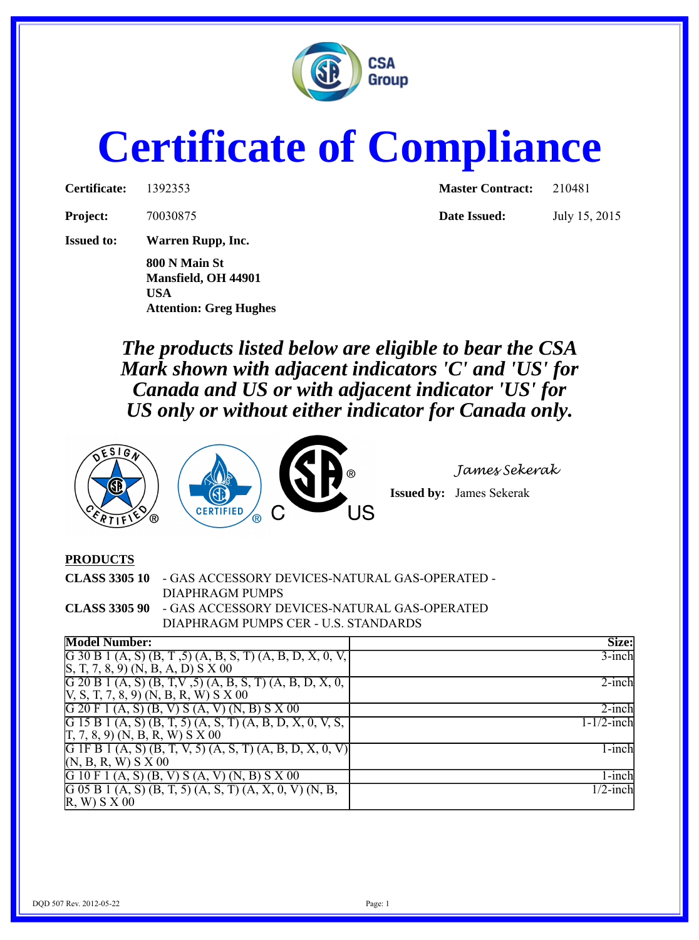

## **Certificate of Compliance**

| Certificate: | 13923: |
|--------------|--------|
|              |        |

**Project:** 70030875 **Date Issued:** July 15, 2015

**Issued to: Warren Rupp, Inc.**

**800 N Main St Mansfield, OH 44901 USA Attention: Greg Hughes**

**Certificate:** 1392353 **Master Contract:** 210481

*The products listed below are eligible to bear the CSA Mark shown with adjacent indicators 'C' and 'US' for Canada and US or with adjacent indicator 'US' for US only or without either indicator for Canada only.*





*James Sekerak*

**Issued by:** James Sekerak

## **PRODUCTS**

| <b>CLASS 3305 10 - GAS ACCESSORY DEVICES-NATURAL GAS-OPERATED -</b> |
|---------------------------------------------------------------------|
| DIAPHRAGM PUMPS                                                     |
| <b>CLASS 3305 90 - GAS ACCESSORY DEVICES-NATURAL GAS-OPERATED</b>   |
| DIAPHRAGM PUMPS CER - U.S. STANDARDS                                |

| <b>Model Number:</b>                                        | Size:                  |
|-------------------------------------------------------------|------------------------|
| G 30 B 1 (A, S) (B, T, 5) (A, B, S, T) (A, B, D, X, 0, V,   | $3$ -inch              |
| (S, T, 7, 8, 9) (N, B, A, D) S X 00                         |                        |
| G 20 B 1 (A, S) (B, T,V, 5) (A, B, S, T) (A, B, D, X, 0,    | $2$ -inch              |
| $[V, S, T, 7, 8, 9) (N, B, R, W) S X 00$                    |                        |
| $G$ 20 F 1 (A, S) (B, V) S (A, V) (N, B) S X 00             | $2$ -inch              |
| G 15 B 1 (A, S) (B, T, 5) (A, S, T) (A, B, D, X, 0, V, S,   | $1 - 1/2$ -inch        |
| $[T, 7, 8, 9)$ (N, B, R, W) S X 00                          |                        |
| G IF B 1 (A, S) (B, T, V, 5) (A, S, T) (A, B, D, X, 0,<br>V | 1-inch                 |
| (N, B, R, W) S X 00                                         |                        |
| G 10 F 1 (A, S) (B, V) S (A, V)<br>$(N, B)$ S X 00          | 1-inch                 |
| G 05 B 1 (A, S) (B, T, 5) (A, S, T) (A, X, 0, V) (N, B,     | $\overline{1/2}$ -inch |
| (R, W) S X 00                                               |                        |